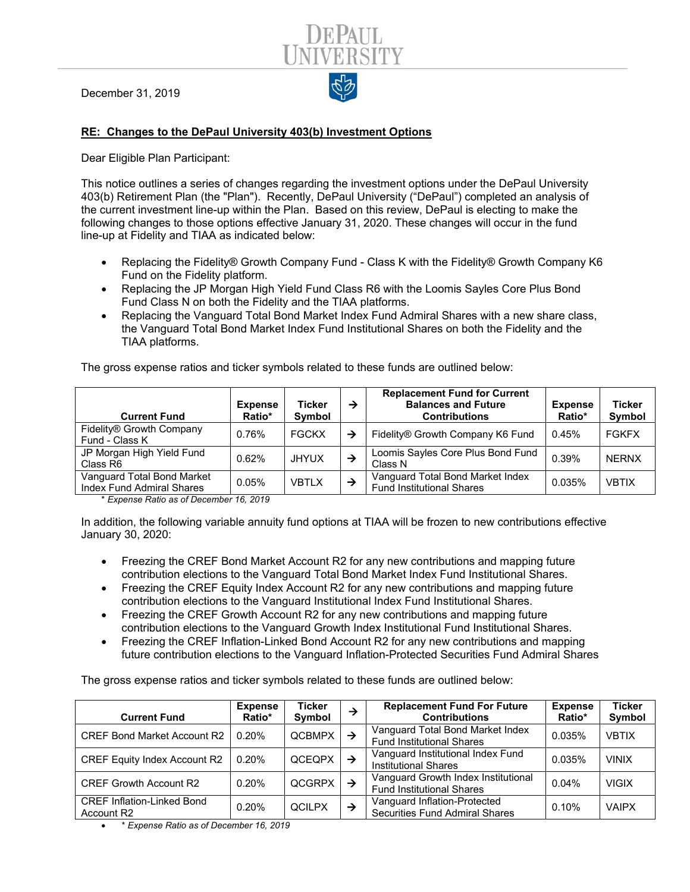December 31, 2019



Dear Eligible Plan Participant:

This notice outlines a series of changes regarding the investment options under the DePaul University 403(b) Retirement Plan (the "Plan"). Recently, DePaul University ("DePaul") completed an analysis of the current investment line-up within the Plan. Based on this review, DePaul is electing to make the following changes to those options effective January 31, 2020. These changes will occur in the fund line-up at Fidelity and TIAA as indicated below:

- Replacing the Fidelity® Growth Company Fund Class K with the Fidelity® Growth Company K6 Fund on the Fidelity platform.
- Replacing the JP Morgan High Yield Fund Class R6 with the Loomis Sayles Core Plus Bond Fund Class N on both the Fidelity and the TIAA platforms.
- Replacing the Vanguard Total Bond Market Index Fund Admiral Shares with a new share class, the Vanguard Total Bond Market Index Fund Institutional Shares on both the Fidelity and the TIAA platforms.

The gross expense ratios and ticker symbols related to these funds are outlined below:

| <b>Current Fund</b>                                            | <b>Expense</b><br>Ratio* | Ticker<br><b>Symbol</b> | → | <b>Replacement Fund for Current</b><br><b>Balances and Future</b><br><b>Contributions</b> | <b>Expense</b><br>Ratio* | <b>Ticker</b><br>Symbol |
|----------------------------------------------------------------|--------------------------|-------------------------|---|-------------------------------------------------------------------------------------------|--------------------------|-------------------------|
| Fidelity® Growth Company<br>Fund - Class K                     | 0.76%                    | <b>FGCKX</b>            | → | Fidelity® Growth Company K6 Fund                                                          | 0.45%                    | <b>FGKFX</b>            |
| JP Morgan High Yield Fund<br>Class R6                          | 0.62%                    | <b>JHYUX</b>            | → | Loomis Sayles Core Plus Bond Fund<br>Class N                                              | 0.39%                    | <b>NERNX</b>            |
| Vanguard Total Bond Market<br><b>Index Fund Admiral Shares</b> | 0.05%                    | <b>VBTLX</b>            | → | Vanguard Total Bond Market Index<br><b>Fund Institutional Shares</b>                      | 0.035%                   | <b>VBTIX</b>            |

\* *Expense Ratio as of December 16, 2019*

In addition, the following variable annuity fund options at TIAA will be frozen to new contributions effective January 30, 2020:

- Freezing the CREF Bond Market Account R2 for any new contributions and mapping future contribution elections to the Vanguard Total Bond Market Index Fund Institutional Shares.
- Freezing the CREF Equity Index Account R2 for any new contributions and mapping future contribution elections to the Vanguard Institutional Index Fund Institutional Shares.
- Freezing the CREF Growth Account R2 for any new contributions and mapping future contribution elections to the Vanguard Growth Index Institutional Fund Institutional Shares.
- Freezing the CREF Inflation-Linked Bond Account R2 for any new contributions and mapping future contribution elections to the Vanguard Inflation-Protected Securities Fund Admiral Shares

The gross expense ratios and ticker symbols related to these funds are outlined below:

| <b>Current Fund</b>                             | <b>Expense</b><br>Ratio* | <b>Ticker</b><br>Symbol | →             | <b>Replacement Fund For Future</b><br><b>Contributions</b>              | <b>Expense</b><br>Ratio* | <b>Ticker</b><br>Symbol |
|-------------------------------------------------|--------------------------|-------------------------|---------------|-------------------------------------------------------------------------|--------------------------|-------------------------|
| <b>CREF Bond Market Account R2</b>              | 0.20%                    | <b>QCBMPX</b>           | $\rightarrow$ | Vanguard Total Bond Market Index<br><b>Fund Institutional Shares</b>    | 0.035%                   | <b>VBTIX</b>            |
| <b>CREF Equity Index Account R2</b>             | 0.20%                    | QCEQPX                  | →             | Vanguard Institutional Index Fund<br><b>Institutional Shares</b>        | 0.035%                   | <b>VINIX</b>            |
| <b>CREF Growth Account R2</b>                   | 0.20%                    | QCGRPX                  | $\rightarrow$ | Vanguard Growth Index Institutional<br><b>Fund Institutional Shares</b> | 0.04%                    | <b>VIGIX</b>            |
| <b>CREF Inflation-Linked Bond</b><br>Account R2 | 0.20%                    | <b>QCILPX</b>           | →             | Vanguard Inflation-Protected<br><b>Securities Fund Admiral Shares</b>   | 0.10%                    | <b>VAIPX</b>            |

• \* *Expense Ratio as of December 16, 2019*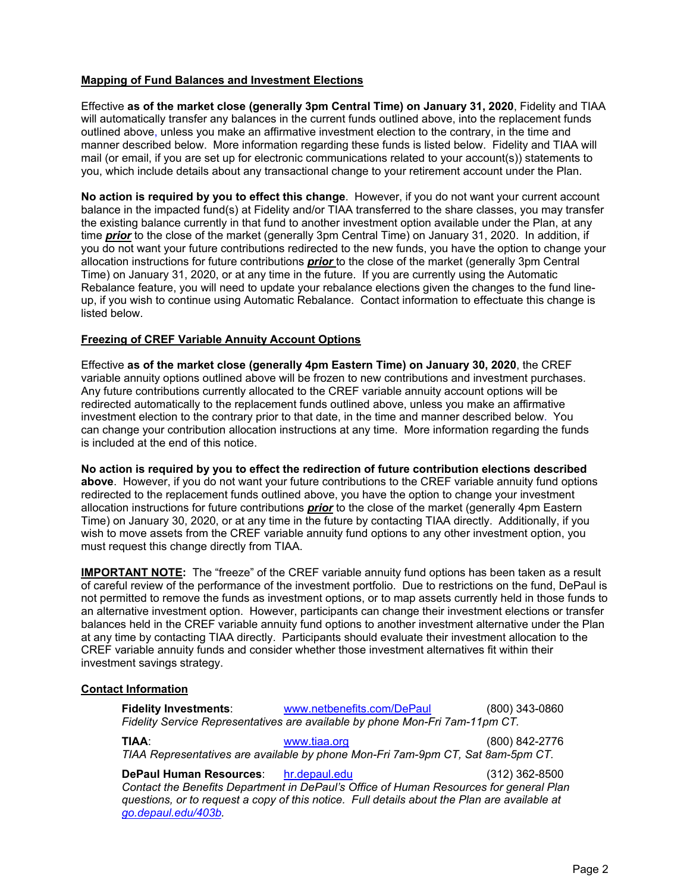# **Mapping of Fund Balances and Investment Elections**

Effective **as of the market close (generally 3pm Central Time) on January 31, 2020**, Fidelity and TIAA will automatically transfer any balances in the current funds outlined above, into the replacement funds outlined above, unless you make an affirmative investment election to the contrary, in the time and manner described below. More information regarding these funds is listed below. Fidelity and TIAA will mail (or email, if you are set up for electronic communications related to your account(s)) statements to you, which include details about any transactional change to your retirement account under the Plan.

**No action is required by you to effect this change**. However, if you do not want your current account balance in the impacted fund(s) at Fidelity and/or TIAA transferred to the share classes, you may transfer the existing balance currently in that fund to another investment option available under the Plan, at any time *prior* to the close of the market (generally 3pm Central Time) on January 31, 2020. In addition, if you do not want your future contributions redirected to the new funds, you have the option to change your allocation instructions for future contributions *prior* to the close of the market (generally 3pm Central Time) on January 31, 2020, or at any time in the future. If you are currently using the Automatic Rebalance feature, you will need to update your rebalance elections given the changes to the fund lineup, if you wish to continue using Automatic Rebalance. Contact information to effectuate this change is listed below.

# **Freezing of CREF Variable Annuity Account Options**

Effective **as of the market close (generally 4pm Eastern Time) on January 30, 2020**, the CREF variable annuity options outlined above will be frozen to new contributions and investment purchases. Any future contributions currently allocated to the CREF variable annuity account options will be redirected automatically to the replacement funds outlined above, unless you make an affirmative investment election to the contrary prior to that date, in the time and manner described below. You can change your contribution allocation instructions at any time. More information regarding the funds is included at the end of this notice.

**No action is required by you to effect the redirection of future contribution elections described above**. However, if you do not want your future contributions to the CREF variable annuity fund options redirected to the replacement funds outlined above, you have the option to change your investment allocation instructions for future contributions *prior* to the close of the market (generally 4pm Eastern Time) on January 30, 2020, or at any time in the future by contacting TIAA directly. Additionally, if you wish to move assets from the CREF variable annuity fund options to any other investment option, you must request this change directly from TIAA.

**IMPORTANT NOTE:** The "freeze" of the CREF variable annuity fund options has been taken as a result of careful review of the performance of the investment portfolio. Due to restrictions on the fund, DePaul is not permitted to remove the funds as investment options, or to map assets currently held in those funds to an alternative investment option. However, participants can change their investment elections or transfer balances held in the CREF variable annuity fund options to another investment alternative under the Plan at any time by contacting TIAA directly. Participants should evaluate their investment allocation to the CREF variable annuity funds and consider whether those investment alternatives fit within their investment savings strategy.

# **Contact Information**

| <b>Fidelity Investments:</b><br>Fidelity Service Representatives are available by phone Mon-Fri 7am-11pm CT.                    | www.netbenefits.com/DePaul | (800) 343-0860   |
|---------------------------------------------------------------------------------------------------------------------------------|----------------------------|------------------|
| <b>TIAA:</b><br>TIAA Representatives are available by phone Mon-Fri 7am-9pm CT, Sat 8am-5pm CT.                                 | www.tiaa.org               | (800) 842-2776   |
| DePaul Human Resources: hr.depaul.edu<br>Contact the Benefits Department in DePaul's Office of Human Resources for general Plan |                            | $(312)$ 362-8500 |

*Contact the Benefits Department in DePaul's Office of Human Resources for general Plan questions, or to request a copy of this notice. Full details about the Plan are available at [go.depaul.edu/403b.](http://offices.depaul.edu/human-resources/benefits/403b-retirement/Pages/default.aspx)*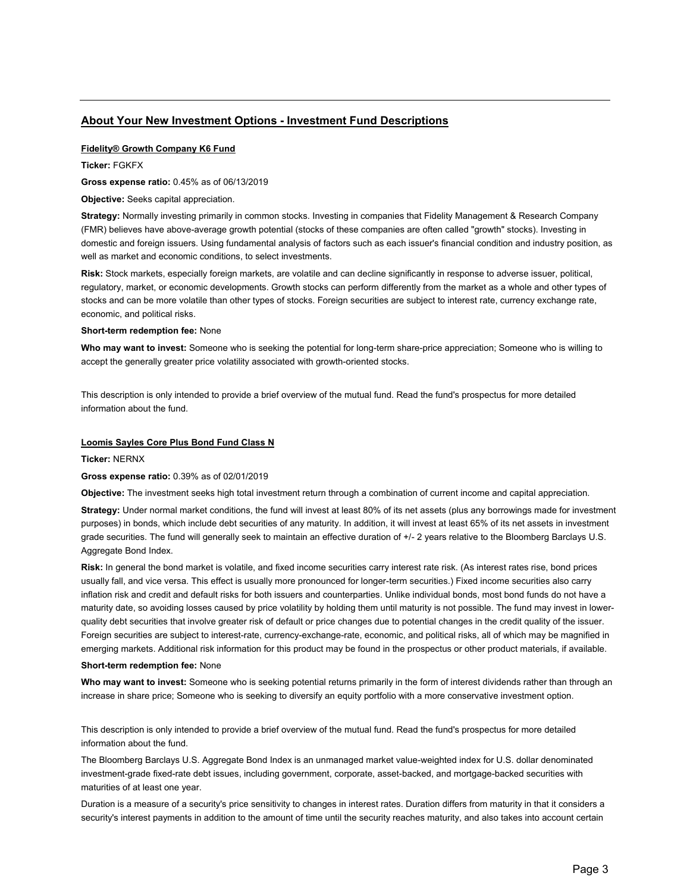# **About Your New Investment Options - Investment Fund Descriptions**

## **Fidelity® Growth Company K6 Fund**

**Ticker:** FGKFX

**Gross expense ratio:** 0.45% as of 06/13/2019

**Objective:** Seeks capital appreciation.

**Strategy:** Normally investing primarily in common stocks. Investing in companies that Fidelity Management & Research Company (FMR) believes have above-average growth potential (stocks of these companies are often called "growth" stocks). Investing in domestic and foreign issuers. Using fundamental analysis of factors such as each issuer's financial condition and industry position, as well as market and economic conditions, to select investments.

**Risk:** Stock markets, especially foreign markets, are volatile and can decline significantly in response to adverse issuer, political, regulatory, market, or economic developments. Growth stocks can perform differently from the market as a whole and other types of stocks and can be more volatile than other types of stocks. Foreign securities are subject to interest rate, currency exchange rate, economic, and political risks.

### **Short-term redemption fee:** None

**Who may want to invest:** Someone who is seeking the potential for long-term share-price appreciation; Someone who is willing to accept the generally greater price volatility associated with growth-oriented stocks.

This description is only intended to provide a brief overview of the mutual fund. Read the fund's prospectus for more detailed information about the fund.

### **Loomis Sayles Core Plus Bond Fund Class N**

**Ticker:** NERNX

### **Gross expense ratio:** 0.39% as of 02/01/2019

**Objective:** The investment seeks high total investment return through a combination of current income and capital appreciation.

**Strategy:** Under normal market conditions, the fund will invest at least 80% of its net assets (plus any borrowings made for investment purposes) in bonds, which include debt securities of any maturity. In addition, it will invest at least 65% of its net assets in investment grade securities. The fund will generally seek to maintain an effective duration of +/- 2 years relative to the Bloomberg Barclays U.S. Aggregate Bond Index.

**Risk:** In general the bond market is volatile, and fixed income securities carry interest rate risk. (As interest rates rise, bond prices usually fall, and vice versa. This effect is usually more pronounced for longer-term securities.) Fixed income securities also carry inflation risk and credit and default risks for both issuers and counterparties. Unlike individual bonds, most bond funds do not have a maturity date, so avoiding losses caused by price volatility by holding them until maturity is not possible. The fund may invest in lowerquality debt securities that involve greater risk of default or price changes due to potential changes in the credit quality of the issuer. Foreign securities are subject to interest-rate, currency-exchange-rate, economic, and political risks, all of which may be magnified in emerging markets. Additional risk information for this product may be found in the prospectus or other product materials, if available.

#### **Short-term redemption fee:** None

**Who may want to invest:** Someone who is seeking potential returns primarily in the form of interest dividends rather than through an increase in share price; Someone who is seeking to diversify an equity portfolio with a more conservative investment option.

This description is only intended to provide a brief overview of the mutual fund. Read the fund's prospectus for more detailed information about the fund.

The Bloomberg Barclays U.S. Aggregate Bond Index is an unmanaged market value-weighted index for U.S. dollar denominated investment-grade fixed-rate debt issues, including government, corporate, asset-backed, and mortgage-backed securities with maturities of at least one year.

Duration is a measure of a security's price sensitivity to changes in interest rates. Duration differs from maturity in that it considers a security's interest payments in addition to the amount of time until the security reaches maturity, and also takes into account certain